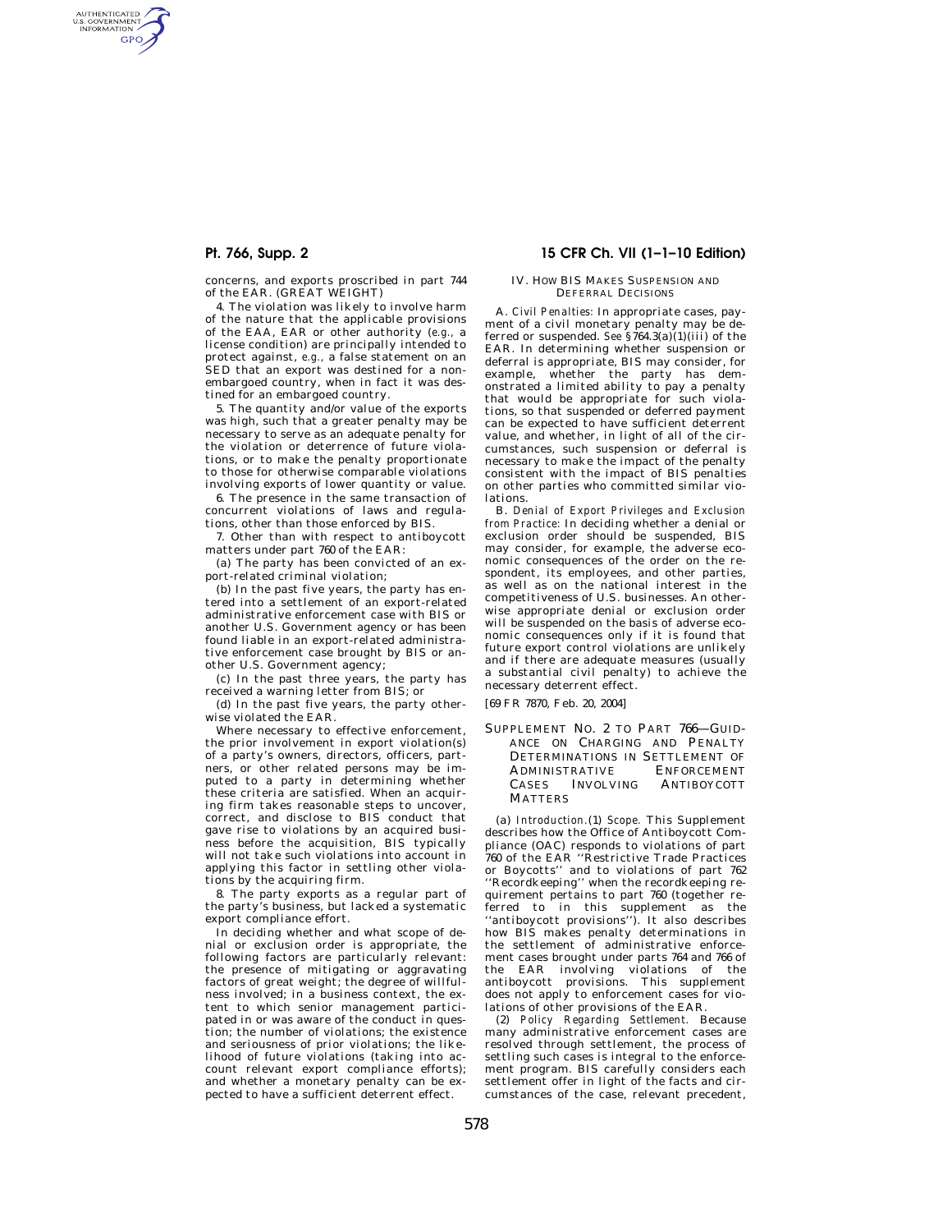AUTHENTICATED<br>U.S. GOVERNMENT<br>INFORMATION **GPO** 

> concerns, and exports proscribed in part 744 of the EAR. (GREAT WEIGHT)

4. The violation was likely to involve harm of the nature that the applicable provisions of the EAA, EAR or other authority (*e.g.,* a license condition) are principally intended to protect against, *e.g.,* a false statement on an SED that an export was destined for a nonembargoed country, when in fact it was destined for an embargoed country.

5. The quantity and/or value of the exports was high, such that a greater penalty may be necessary to serve as an adequate penalty for the violation or deterrence of future violations, or to make the penalty proportionate to those for otherwise comparable violations involving exports of lower quantity or value.

6. The presence in the same transaction of concurrent violations of laws and regulations, other than those enforced by BIS.

7. Other than with respect to antiboycott matters under part 760 of the EAR:

(a) The party has been convicted of an export-related criminal violation;

(b) In the past five years, the party has entered into a settlement of an export-related administrative enforcement case with BIS or another U.S. Government agency or has been found liable in an export-related administrative enforcement case brought by BIS or another U.S. Government agency;

(c) In the past three years, the party has received a warning letter from BIS; or

(d) In the past five years, the party otherwise violated the EAR.

Where necessary to effective enforcement, the prior involvement in export violation(s) of a party's owners, directors, officers, partners, or other related persons may be imputed to a party in determining whether these criteria are satisfied. When an acquiring firm takes reasonable steps to uncover, correct, and disclose to BIS conduct that gave rise to violations by an acquired business before the acquisition, BIS typically will not take such violations into account in applying this factor in settling other violations by the acquiring firm.

8. The party exports as a regular part of the party's business, but lacked a systematic export compliance effort.

In deciding whether and what scope of denial or exclusion order is appropriate, the following factors are particularly relevant: the presence of mitigating or aggravating factors of great weight; the degree of willfulness involved; in a business context, the extent to which senior management participated in or was aware of the conduct in question; the number of violations; the existence and seriousness of prior violations; the likelihood of future violations (taking into account relevant export compliance efforts); and whether a monetary penalty can be expected to have a sufficient deterrent effect.

# **Pt. 766, Supp. 2 15 CFR Ch. VII (1–1–10 Edition)**

### IV. HOW BIS MAKES SUSPENSION AND DEFERRAL DECISIONS

A. *Civil Penalties:* In appropriate cases, payment of a civil monetary penalty may be deferred or suspended. *See*  $\frac{2}{3}$ 764.3(a)(1)(iii) of the EAR. In determining whether suspension or deferral is appropriate, BIS may consider, for example, whether the party has demonstrated a limited ability to pay a penalty that would be appropriate for such violations, so that suspended or deferred payment can be expected to have sufficient deterrent value, and whether, in light of all of the circumstances, such suspension or deferral is necessary to make the impact of the penalty consistent with the impact of BIS penalties on other parties who committed similar violations.

B. *Denial of Export Privileges and Exclusion from Practice:* In deciding whether a denial or exclusion order should be suspended, BIS may consider, for example, the adverse economic consequences of the order on the respondent, its employees, and other parties, as well as on the national interest in the competitiveness of U.S. businesses. An otherwise appropriate denial or exclusion order will be suspended on the basis of adverse economic consequences only if it is found that future export control violations are unlikely and if there are adequate measures (usually a substantial civil penalty) to achieve the necessary deterrent effect.

[69 FR 7870, Feb. 20, 2004]

SUPPLEMENT NO. 2 TO PART 766—GUID-ANCE ON CHARGING AND PENALTY DETERMINATIONS IN SETTLEMENT OF ADMINISTRATIVE ENFORCEMENT CASES INVOLVING ANTIBOYCOTT **MATTERS** 

(a) *Introduction.*(1) *Scope.* This Supplement describes how the Office of Antiboycott Compliance (OAC) responds to violations of part 760 of the EAR ''Restrictive Trade Practices or Boycotts'' and to violations of part 762 ''Recordkeeping'' when the recordkeeping requirement pertains to part 760 (together referred to in this supplement as the 'antiboycott provisions''). It also describes how BIS makes penalty determinations in the settlement of administrative enforcement cases brought under parts 764 and 766 of the EAR involving violations of the antiboycott provisions. This supplement does not apply to enforcement cases for violations of other provisions of the EAR.

(2) *Policy Regarding Settlement.* Because many administrative enforcement cases are resolved through settlement, the process of settling such cases is integral to the enforcement program. BIS carefully considers each settlement offer in light of the facts and circumstances of the case, relevant precedent,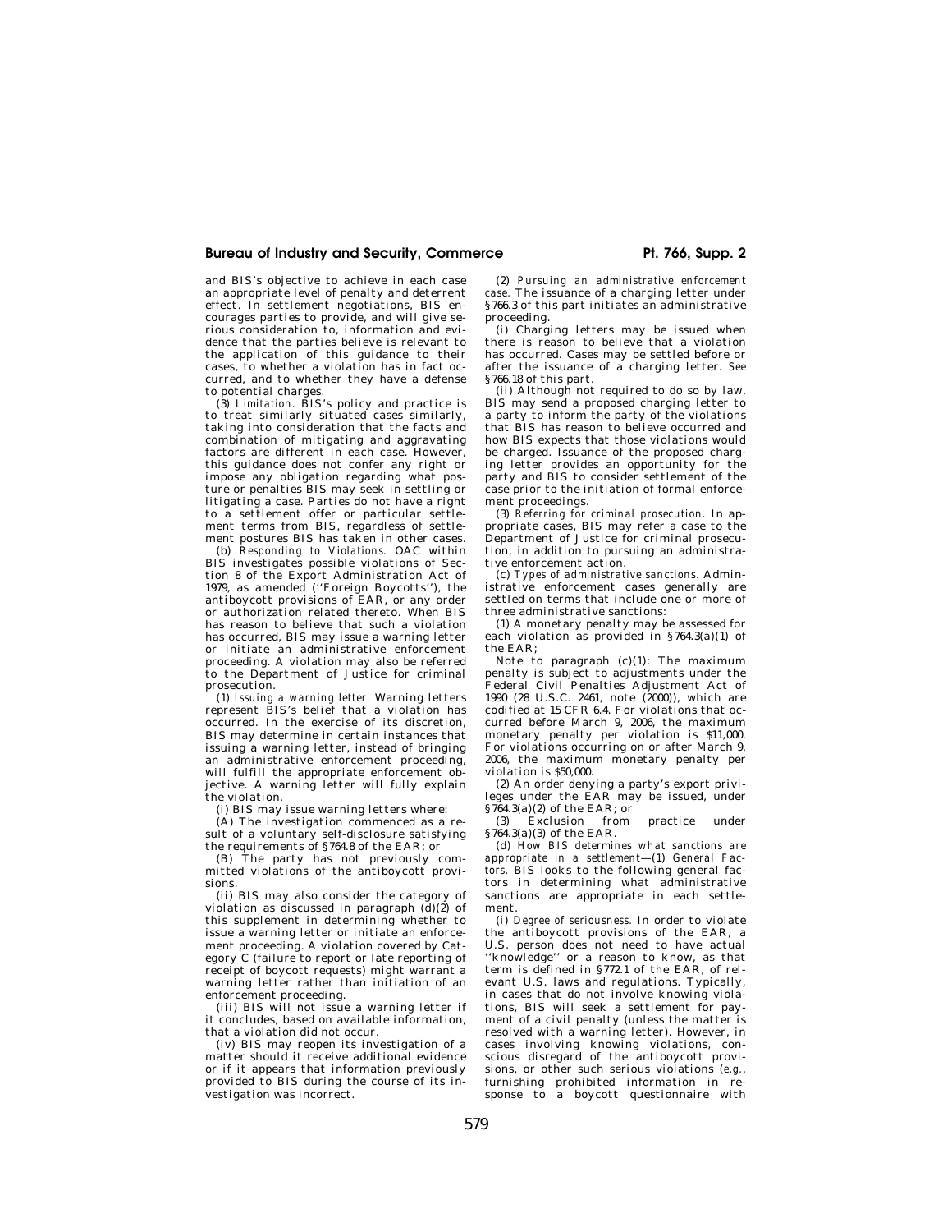### Bureau of Industry and Security, Commerce **Pt. 766, Supp. 2 Pt. 766**, Supp. 2

and BIS's objective to achieve in each case an appropriate level of penalty and deterrent effect. In settlement negotiations, BIS encourages parties to provide, and will give serious consideration to, information and evidence that the parties believe is relevant to the application of this guidance to their cases, to whether a violation has in fact occurred, and to whether they have a defense to potential charges.

(3) *Limitation.* BIS's policy and practice is to treat similarly situated cases similarly, taking into consideration that the facts and combination of mitigating and aggravating factors are different in each case. However, this guidance does not confer any right or impose any obligation regarding what posture or penalties BIS may seek in settling or litigating a case. Parties do not have a right to a settlement offer or particular settlement terms from BIS, regardless of settlement postures BIS has taken in other cases.

(b) *Responding to Violations.* OAC within BIS investigates possible violations of Section 8 of the Export Administration Act of 1979, as amended (''Foreign Boycotts''), the antiboycott provisions of EAR, or any order or authorization related thereto. When BIS has reason to believe that such a violation has occurred, BIS may issue a warning letter or initiate an administrative enforcement proceeding. A violation may also be referred to the Department of Justice for criminal prosecution.

(1) *Issuing a warning letter.* Warning letters represent BIS's belief that a violation has occurred. In the exercise of its discretion, BIS may determine in certain instances that issuing a warning letter, instead of bringing an administrative enforcement proceeding, will fulfill the appropriate enforcement objective. A warning letter will fully explain the violation.

(i) BIS may issue warning letters where:

(A) The investigation commenced as a result of a voluntary self-disclosure satisfying the requirements of §764.8 of the EAR; or

(B) The party has not previously committed violations of the antiboycott provisions.

(ii) BIS may also consider the category of violation as discussed in paragraph  $(d)(2)$  of this supplement in determining whether to issue a warning letter or initiate an enforcement proceeding. A violation covered by Category C (failure to report or late reporting of receipt of boycott requests) might warrant a warning letter rather than initiation of an enforcement proceeding.

(iii) BIS will not issue a warning letter if it concludes, based on available information, that a violation did not occur.

(iv) BIS may reopen its investigation of a matter should it receive additional evidence or if it appears that information previously provided to BIS during the course of its investigation was incorrect.

(2) *Pursuing an administrative enforcement case.* The issuance of a charging letter under §766.3 of this part initiates an administrative proceeding.

(i) Charging letters may be issued when there is reason to believe that a violation has occurred. Cases may be settled before or after the issuance of a charging letter. *See*  §766.18 of this part.

(ii) Although not required to do so by law, BIS may send a proposed charging letter to a party to inform the party of the violations that BIS has reason to believe occurred and how BIS expects that those violations would be charged. Issuance of the proposed charging letter provides an opportunity for the party and BIS to consider settlement of the case prior to the initiation of formal enforcement proceedings.

(3) *Referring for criminal prosecution.* In appropriate cases, BIS may refer a case to the Department of Justice for criminal prosecution, in addition to pursuing an administrative enforcement action.

(c) *Types of administrative sanctions.* Administrative enforcement cases generally are settled on terms that include one or more of three administrative sanctions:

(1) A monetary penalty may be assessed for each violation as provided in §764.3(a)(1) of the EAR;

Note to paragraph  $(c)(1)$ : The maximum penalty is subject to adjustments under the Federal Civil Penalties Adjustment Act of 1990 (28 U.S.C. 2461, note (2000)), which are codified at 15 CFR 6.4. For violations that occurred before March 9, 2006, the maximum monetary penalty per violation is \$11,000. For violations occurring on or after March 9, 2006, the maximum monetary penalty per violation is \$50,000.

(2) An order denying a party's export privileges under the EAR may be issued, under  $\frac{\$764.3(a)(2) \text{ of the EAR; or}}{3}$  Exclusion from

Exclusion from practice under §764.3(a)(3) of the EAR.

(d) *How BIS determines what sanctions are appropriate in a settlement*—(1) *General Factors.* BIS looks to the following general factors in determining what administrative sanctions are appropriate in each settlement.

(i) *Degree of seriousness.* In order to violate the antiboycott provisions of the EAR, a U.S. person does not need to have actual ''knowledge'' or a reason to know, as that term is defined in §772.1 of the EAR, of relevant U.S. laws and regulations. Typically, in cases that do not involve knowing violations, BIS will seek a settlement for payment of a civil penalty (unless the matter is resolved with a warning letter). However, in cases involving knowing violations, conscious disregard of the antiboycott provisions, or other such serious violations (*e.g.*, furnishing prohibited information in response to a boycott questionnaire with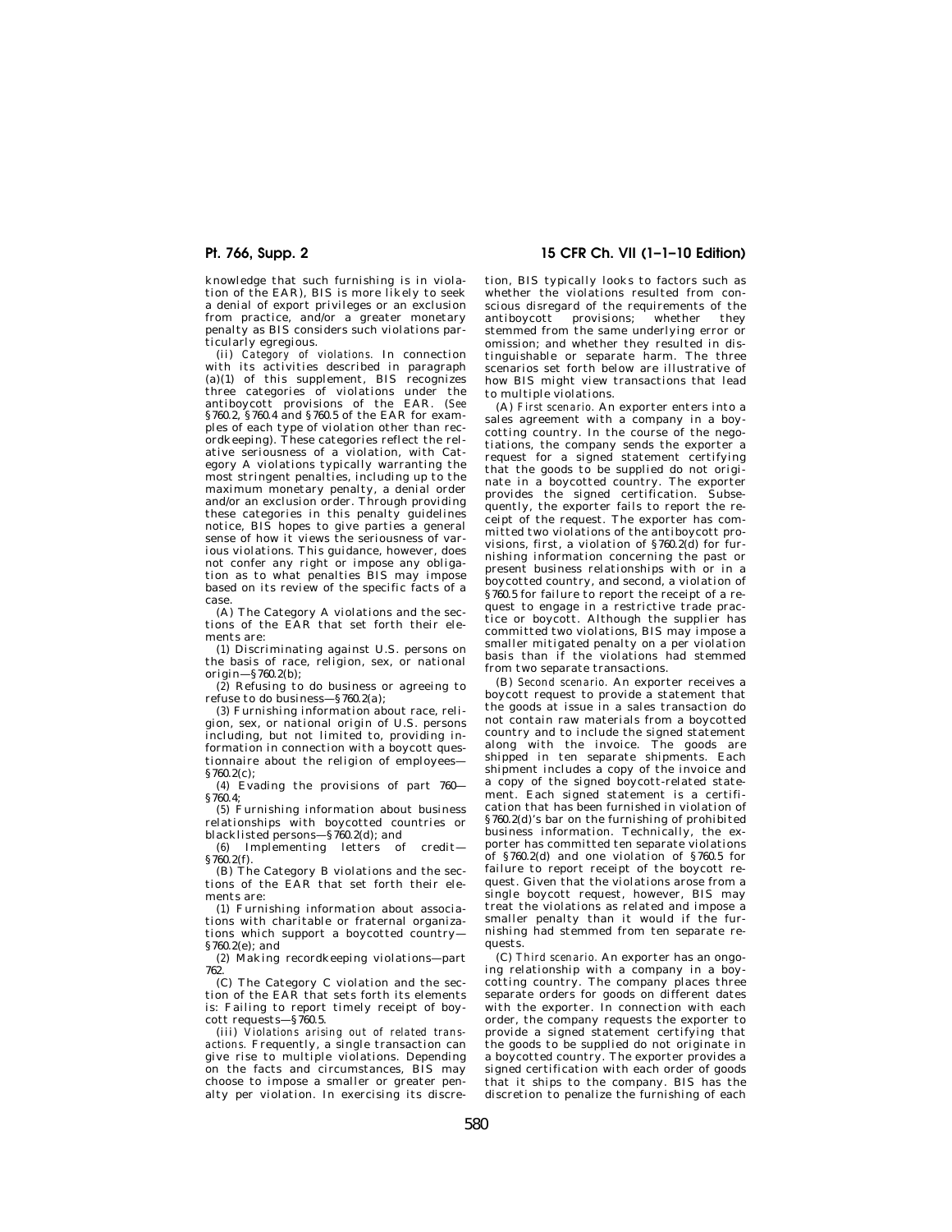knowledge that such furnishing is in violation of the EAR), BIS is more likely to seek a denial of export privileges or an exclusion from practice, and/or a greater monetary penalty as BIS considers such violations particularly egregious.

(ii) *Category of violations.* In connection with its activities described in paragraph  $(a)(1)$  of this supplement, BIS recognizes three categories of violations under the antiboycott provisions of the EAR. (*See*  §760.2, §760.4 and §760.5 of the EAR for examples of each type of violation other than recordkeeping). These categories reflect the relative seriousness of a violation, with Category A violations typically warranting the most stringent penalties, including up to the maximum monetary penalty, a denial order and/or an exclusion order. Through providing these categories in this penalty guidelines notice, BIS hopes to give parties a general sense of how it views the seriousness of various violations. This guidance, however, does not confer any right or impose any obligation as to what penalties BIS may impose based on its review of the specific facts of a case.

(A) The Category A violations and the sections of the EAR that set forth their elements are:

(*1*) Discriminating against U.S. persons on the basis of race, religion, sex, or national origin—§760.2(b);

(*2*) Refusing to do business or agreeing to refuse to do business—§760.2(a);

(*3*) Furnishing information about race, religion, sex, or national origin of U.S. persons including, but not limited to, providing information in connection with a boycott questionnaire about the religion of employees— §760.2(c);

(*4*) Evading the provisions of part 760— §760.4;

(*5*) Furnishing information about business relationships with boycotted countries or blacklisted persons—§760.2(d); and

(*6*) Implementing letters of credit—  $\frac{60.2(f)}{2}$ .

(B) The Category B violations and the sections of the EAR that set forth their elements are:

(*1*) Furnishing information about associations with charitable or fraternal organizations which support a boycotted country— §760.2(e); and

(*2*) Making recordkeeping violations—part 762.

(C) The Category C violation and the section of the EAR that sets forth its elements is: Failing to report timely receipt of boy-

cott requests—§760.5. (iii) *Violations arising out of related transactions.* Frequently, a single transaction can give rise to multiple violations. Depending on the facts and circumstances, BIS may choose to impose a smaller or greater penalty per violation. In exercising its discre-

# **Pt. 766, Supp. 2 15 CFR Ch. VII (1–1–10 Edition)**

tion, BIS typically looks to factors such as whether the violations resulted from conscious disregard of the requirements of the<br>antibovcott provisions: whether they antiboycott provisions; whether stemmed from the same underlying error or omission; and whether they resulted in distinguishable or separate harm. The three scenarios set forth below are illustrative of how BIS might view transactions that lead to multiple violations.

(A) *First scenario.* An exporter enters into a sales agreement with a company in a boycotting country. In the course of the negotiations, the company sends the exporter a request for a signed statement certifying that the goods to be supplied do not originate in a boycotted country. The exporter provides the signed certification. Subsequently, the exporter fails to report the receipt of the request. The exporter has committed two violations of the antiboycott provisions, first, a violation of §760.2(d) for furnishing information concerning the past or present business relationships with or in a boycotted country, and second, a violation of §760.5 for failure to report the receipt of a request to engage in a restrictive trade practice or boycott. Although the supplier has committed two violations, BIS may impose a smaller mitigated penalty on a per violation basis than if the violations had stemmed from two separate transactions.

(B) *Second scenario.* An exporter receives a boycott request to provide a statement that the goods at issue in a sales transaction do not contain raw materials from a boycotted country and to include the signed statement along with the invoice. The goods are shipped in ten separate shipments. Each shipment includes a copy of the invoice and a copy of the signed boycott-related statement. Each signed statement is a certification that has been furnished in violation of §760.2(d)'s bar on the furnishing of prohibited business information. Technically, the exporter has committed ten separate violations of §760.2(d) and one violation of §760.5 for failure to report receipt of the boycott request. Given that the violations arose from a single boycott request, however, BIS may treat the violations as related and impose a smaller penalty than it would if the furnishing had stemmed from ten separate requests.

(C) *Third scenario.* An exporter has an ongoing relationship with a company in a boycotting country. The company places three separate orders for goods on different dates with the exporter. In connection with each order, the company requests the exporter to provide a signed statement certifying that the goods to be supplied do not originate in a boycotted country. The exporter provides a signed certification with each order of goods that it ships to the company. BIS has the discretion to penalize the furnishing of each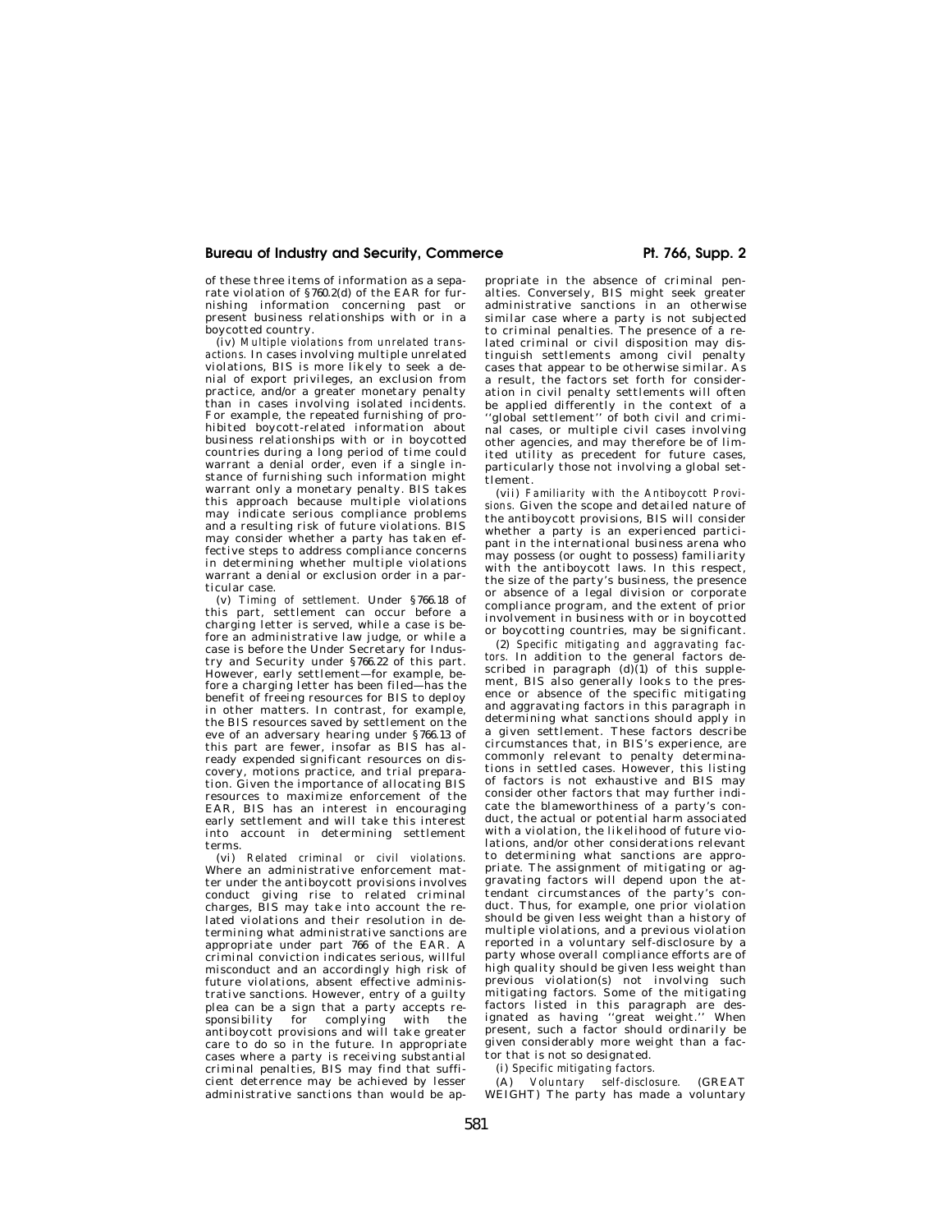### Bureau of Industry and Security, Commerce **Pt. 766, Supp. 2 Pt. 766**, Supp. 2

of these three items of information as a separate violation of §760.2(d) of the EAR for furnishing information concerning past or present business relationships with or in a boycotted country.

(iv) *Multiple violations from unrelated transactions.* In cases involving multiple unrelated violations, BIS is more likely to seek a denial of export privileges, an exclusion from practice, and/or a greater monetary penalty than in cases involving isolated incidents. For example, the repeated furnishing of prohibited boycott-related information about business relationships with or in boycotted countries during a long period of time could warrant a denial order, even if a single instance of furnishing such information might warrant only a monetary penalty. BIS takes this approach because multiple violations may indicate serious compliance problems and a resulting risk of future violations. BIS may consider whether a party has taken effective steps to address compliance concerns in determining whether multiple violations warrant a denial or exclusion order in a particular case.

(v) *Timing of settlement.* Under §766.18 of this part, settlement can occur before a charging letter is served, while a case is before an administrative law judge, or while a case is before the Under Secretary for Industry and Security under §766.22 of this part. However, early settlement—for example, before a charging letter has been filed—has the benefit of freeing resources for BIS to deploy in other matters. In contrast, for example, the BIS resources saved by settlement on the eve of an adversary hearing under §766.13 of this part are fewer, insofar as BIS has already expended significant resources on discovery, motions practice, and trial preparation. Given the importance of allocating BIS resources to maximize enforcement of the EAR, BIS has an interest in encouraging early settlement and will take this interest into account in determining settlement terms.

(vi) *Related criminal or civil violations.*  Where an administrative enforcement matter under the antiboycott provisions involves conduct giving rise to related criminal charges, BIS may take into account the related violations and their resolution in determining what administrative sanctions are appropriate under part 766 of the EAR. A criminal conviction indicates serious, willful misconduct and an accordingly high risk of future violations, absent effective administrative sanctions. However, entry of a guilty plea can be a sign that a party accepts re-<br>sponsibility for complying with the sponsibility for complying antiboycott provisions and will take greater care to do so in the future. In appropriate cases where a party is receiving substantial criminal penalties, BIS may find that sufficient deterrence may be achieved by lesser administrative sanctions than would be ap-

propriate in the absence of criminal penalties. Conversely, BIS might seek greater administrative sanctions in an otherwise similar case where a party is not subjected to criminal penalties. The presence of a related criminal or civil disposition may distinguish settlements among civil penalty cases that appear to be otherwise similar. As a result, the factors set forth for consideration in civil penalty settlements will often be applied differently in the context of a ''global settlement'' of both civil and criminal cases, or multiple civil cases involving other agencies, and may therefore be of limited utility as precedent for future cases, particularly those not involving a global settlement.

(vii) *Familiarity with the Antiboycott Provisions.* Given the scope and detailed nature of the antiboycott provisions, BIS will consider whether a party is an experienced participant in the international business arena who may possess (or ought to possess) familiarity with the antiboycott laws. In this respect, the size of the party's business, the presence or absence of a legal division or corporate compliance program, and the extent of prior involvement in business with or in boycotted or boycotting countries, may be significant.

(2) *Specific mitigating and aggravating factors.* In addition to the general factors described in paragraph  $(d)(1)$  of this supplement, BIS also generally looks to the presence or absence of the specific mitigating and aggravating factors in this paragraph in determining what sanctions should apply in a given settlement. These factors describe circumstances that, in BIS's experience, are commonly relevant to penalty determinations in settled cases. However, this listing of factors is not exhaustive and BIS may consider other factors that may further indicate the blameworthiness of a party's conduct, the actual or potential harm associated with a violation, the likelihood of future violations, and/or other considerations relevant to determining what sanctions are appropriate. The assignment of mitigating or aggravating factors will depend upon the attendant circumstances of the party's conduct. Thus, for example, one prior violation should be given less weight than a history of multiple violations, and a previous violation reported in a voluntary self-disclosure by a party whose overall compliance efforts are of high quality should be given less weight than previous violation(s) not involving such mitigating factors. Some of the mitigating factors listed in this paragraph are designated as having ''great weight.'' When present, such a factor should ordinarily be given considerably more weight than a factor that is not so designated.

(i) *Specific mitigating factors.* 

(A) *Voluntary self-disclosure.* (GREAT WEIGHT) The party has made a voluntary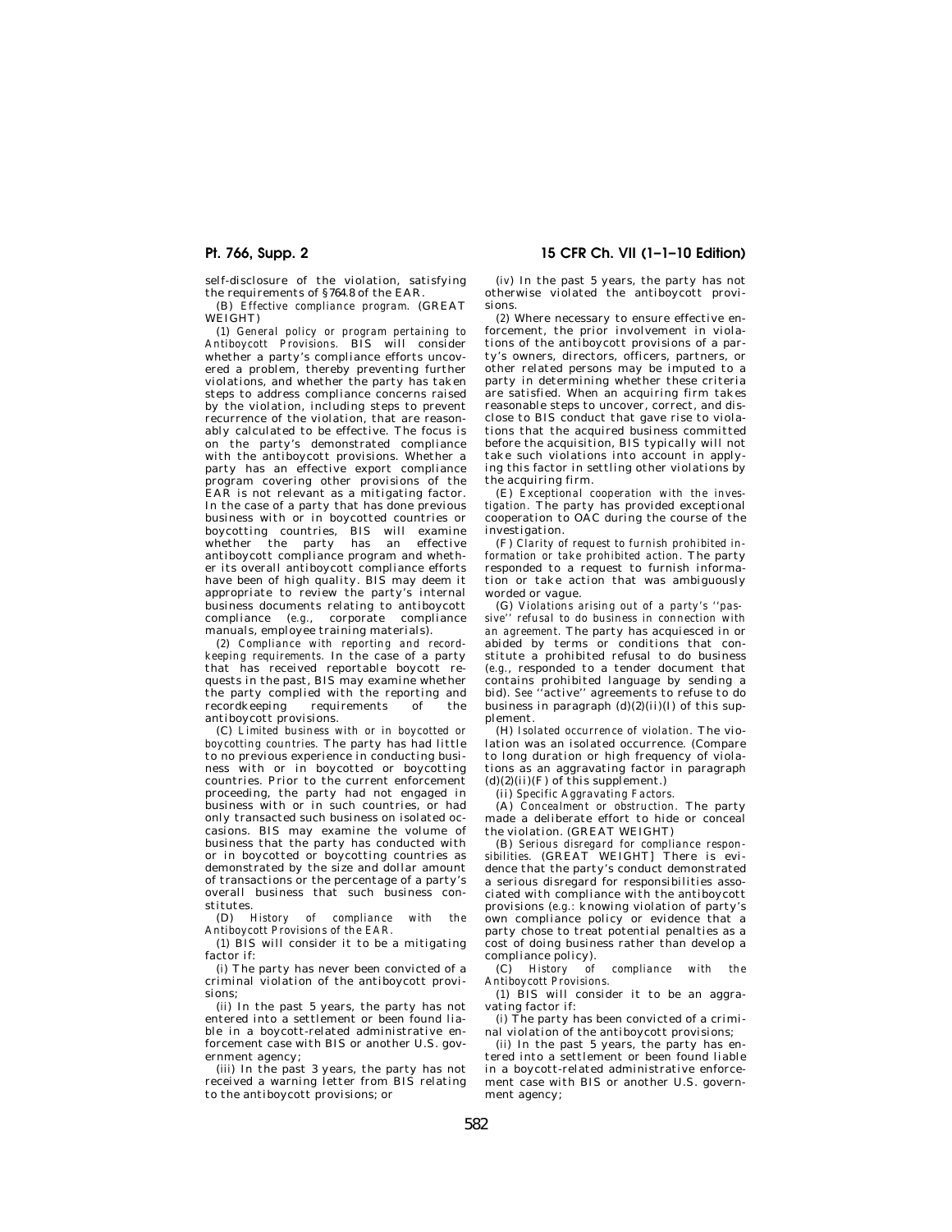self-disclosure of the violation, satisfying the requirements of §764.8 of the EAR.

(B) *Effective compliance program.* (GREAT WEIGHT)

(*1*) *General policy or program pertaining to Antiboycott Provisions.* BIS will consider whether a party's compliance efforts uncovered a problem, thereby preventing further violations, and whether the party has taken steps to address compliance concerns raised by the violation, including steps to prevent recurrence of the violation, that are reasonably calculated to be effective. The focus is on the party's demonstrated compliance with the antiboycott provisions. Whether a party has an effective export compliance program covering other provisions of the EAR is not relevant as a mitigating factor. In the case of a party that has done previous business with or in boycotted countries or boycotting countries, BIS will examine whether the party has an effective antiboycott compliance program and whether its overall antiboycott compliance efforts have been of high quality. BIS may deem it appropriate to review the party's internal business documents relating to antiboycott compliance (*e.g.*, corporate compliance manuals, employee training materials).

(*2*) *Compliance with reporting and recordkeeping requirements.* In the case of a party that has received reportable boycott requests in the past, BIS may examine whether the party complied with the reporting and recordkeeping requirements of antiboycott provisions.

(C) *Limited business with or in boycotted or boycotting countries.* The party has had little to no previous experience in conducting business with or in boycotted or boycotting countries. Prior to the current enforcement proceeding, the party had not engaged in business with or in such countries, or had only transacted such business on isolated occasions. BIS may examine the volume of business that the party has conducted with or in boycotted or boycotting countries as demonstrated by the size and dollar amount of transactions or the percentage of a party's overall business that such business constitutes.

(D) *History of compliance with the Antiboycott Provisions of the EAR.* 

(*1*) BIS will consider it to be a mitigating factor if:

(*i*) The party has never been convicted of a criminal violation of the antiboycott provisions;

(*ii*) In the past 5 years, the party has not entered into a settlement or been found liable in a boycott-related administrative enforcement case with BIS or another U.S. government agency;

(*iii*) In the past 3 years, the party has not received a warning letter from BIS relating to the antiboycott provisions; or

**Pt. 766, Supp. 2 15 CFR Ch. VII (1–1–10 Edition)** 

(*iv*) In the past 5 years, the party has not otherwise violated the antiboycott provisions.

(*2*) Where necessary to ensure effective enforcement, the prior involvement in violations of the antiboycott provisions of a party's owners, directors, officers, partners, or other related persons may be imputed to a party in determining whether these criteria are satisfied. When an acquiring firm takes reasonable steps to uncover, correct, and disclose to BIS conduct that gave rise to violations that the acquired business committed before the acquisition, BIS typically will not take such violations into account in applying this factor in settling other violations by the acquiring firm.

(E) *Exceptional cooperation with the investigation.* The party has provided exceptional cooperation to OAC during the course of the investigation.

(F) *Clarity of request to furnish prohibited information or take prohibited action.* The party responded to a request to furnish information or take action that was ambiguously worded or vague.

(G) *Violations arising out of a party's ''passive'' refusal to do business in connection with an agreement.* The party has acquiesced in or abided by terms or conditions that constitute a prohibited refusal to do business (*e.g.*, responded to a tender document that contains prohibited language by sending a bid). *See* ''active'' agreements to refuse to do business in paragraph  $(d)(2)(ii)(I)$  of this supplement.

(H) *Isolated occurrence of violation.* The violation was an isolated occurrence. (Compare to long duration or high frequency of violations as an aggravating factor in paragraph  $(d)(2)(ii)(F)$  of this supplement.)

(ii) *Specific Aggravating Factors.* 

(A) *Concealment or obstruction.* The party made a deliberate effort to hide or conceal the violation. (GREAT WEIGHT)

(B) *Serious disregard for compliance responsibilities.* (GREAT WEIGHT] There is evidence that the party's conduct demonstrated a serious disregard for responsibilities associated with compliance with the antiboycott provisions (*e.g.:* knowing violation of party's own compliance policy or evidence that a party chose to treat potential penalties as a cost of doing business rather than develop a compliance policy).

(C) *History of compliance with the Antiboycott Provisions.* 

(1) BIS will consider it to be an aggravating factor if:

(*i*) The party has been convicted of a criminal violation of the antiboycott provisions;

(*ii*) In the past 5 years, the party has entered into a settlement or been found liable in a boycott-related administrative enforcement case with BIS or another U.S. government agency;